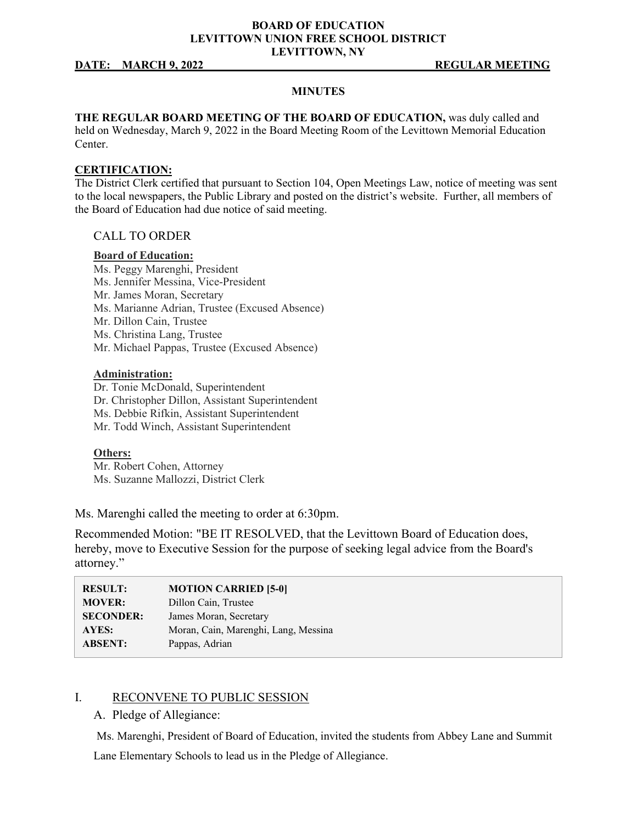#### **BOARD OF EDUCATION LEVITTOWN UNION FREE SCHOOL DISTRICT LEVITTOWN, NY**

#### **DATE: MARCH 9, 2022 REGULAR MEETING**

#### **MINUTES**

**THE REGULAR BOARD MEETING OF THE BOARD OF EDUCATION,** was duly called and

held on Wednesday, March 9, 2022 in the Board Meeting Room of the Levittown Memorial Education Center.

#### **CERTIFICATION:**

The District Clerk certified that pursuant to Section 104, Open Meetings Law, notice of meeting was sent to the local newspapers, the Public Library and posted on the district's website. Further, all members of the Board of Education had due notice of said meeting.

#### CALL TO ORDER

#### **Board of Education:**

Ms. Peggy Marenghi, President Ms. Jennifer Messina, Vice-President Mr. James Moran, Secretary Ms. Marianne Adrian, Trustee (Excused Absence) Mr. Dillon Cain, Trustee Ms. Christina Lang, Trustee Mr. Michael Pappas, Trustee (Excused Absence)

#### **Administration:**

Dr. Tonie McDonald, Superintendent Dr. Christopher Dillon, Assistant Superintendent Ms. Debbie Rifkin, Assistant Superintendent Mr. Todd Winch, Assistant Superintendent

#### **Others:**

Mr. Robert Cohen, Attorney Ms. Suzanne Mallozzi, District Clerk

Ms. Marenghi called the meeting to order at 6:30pm.

Recommended Motion: "BE IT RESOLVED, that the Levittown Board of Education does, hereby, move to Executive Session for the purpose of seeking legal advice from the Board's attorney."

| <b>RESULT:</b>   | <b>MOTION CARRIED [5-0]</b>          |
|------------------|--------------------------------------|
| <b>MOVER:</b>    | Dillon Cain, Trustee                 |
| <b>SECONDER:</b> | James Moran, Secretary               |
| AYES:            | Moran, Cain, Marenghi, Lang, Messina |
| <b>ABSENT:</b>   | Pappas, Adrian                       |

#### I. RECONVENE TO PUBLIC SESSION

A. Pledge of Allegiance:

Ms. Marenghi, President of Board of Education, invited the students from Abbey Lane and Summit Lane Elementary Schools to lead us in the Pledge of Allegiance.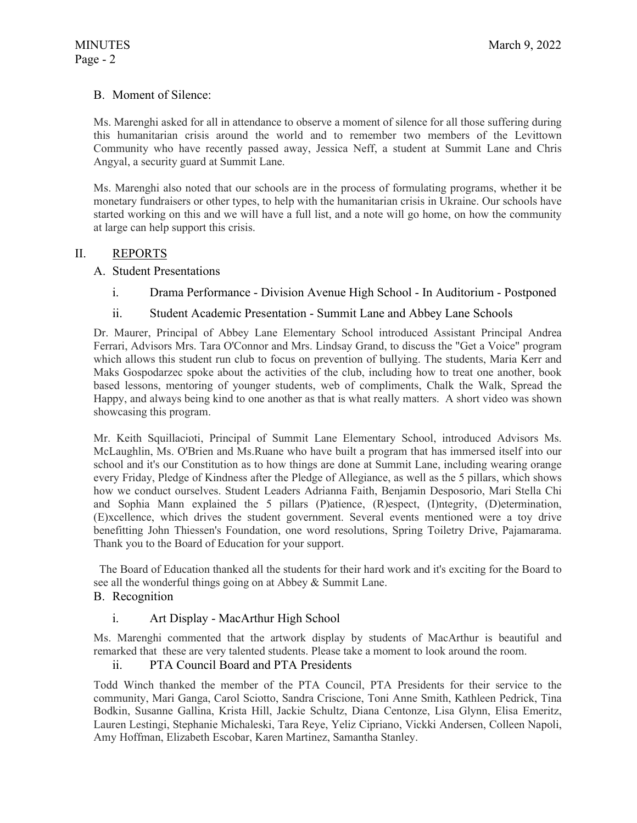## B. Moment of Silence:

Ms. Marenghi asked for all in attendance to observe a moment of silence for all those suffering during this humanitarian crisis around the world and to remember two members of the Levittown Community who have recently passed away, Jessica Neff, a student at Summit Lane and Chris Angyal, a security guard at Summit Lane.

Ms. Marenghi also noted that our schools are in the process of formulating programs, whether it be monetary fundraisers or other types, to help with the humanitarian crisis in Ukraine. Our schools have started working on this and we will have a full list, and a note will go home, on how the community at large can help support this crisis.

### II. REPORTS

### A. Student Presentations

i. Drama Performance - Division Avenue High School - In Auditorium - Postponed

### ii. Student Academic Presentation - Summit Lane and Abbey Lane Schools

Dr. Maurer, Principal of Abbey Lane Elementary School introduced Assistant Principal Andrea Ferrari, Advisors Mrs. Tara O'Connor and Mrs. Lindsay Grand, to discuss the "Get a Voice" program which allows this student run club to focus on prevention of bullying. The students, Maria Kerr and Maks Gospodarzec spoke about the activities of the club, including how to treat one another, book based lessons, mentoring of younger students, web of compliments, Chalk the Walk, Spread the Happy, and always being kind to one another as that is what really matters. A short video was shown showcasing this program.

Mr. Keith Squillacioti, Principal of Summit Lane Elementary School, introduced Advisors Ms. McLaughlin, Ms. O'Brien and Ms.Ruane who have built a program that has immersed itself into our school and it's our Constitution as to how things are done at Summit Lane, including wearing orange every Friday, Pledge of Kindness after the Pledge of Allegiance, as well as the 5 pillars, which shows how we conduct ourselves. Student Leaders Adrianna Faith, Benjamin Desposorio, Mari Stella Chi and Sophia Mann explained the 5 pillars (P)atience, (R)espect, (I)ntegrity, (D)etermination, (E)xcellence, which drives the student government. Several events mentioned were a toy drive benefitting John Thiessen's Foundation, one word resolutions, Spring Toiletry Drive, Pajamarama. Thank you to the Board of Education for your support.

 The Board of Education thanked all the students for their hard work and it's exciting for the Board to see all the wonderful things going on at Abbey & Summit Lane.

## B. Recognition

## i. Art Display - MacArthur High School

Ms. Marenghi commented that the artwork display by students of MacArthur is beautiful and remarked that these are very talented students. Please take a moment to look around the room.

### ii. PTA Council Board and PTA Presidents

Todd Winch thanked the member of the PTA Council, PTA Presidents for their service to the community, Mari Ganga, Carol Sciotto, Sandra Criscione, Toni Anne Smith, Kathleen Pedrick, Tina Bodkin, Susanne Gallina, Krista Hill, Jackie Schultz, Diana Centonze, Lisa Glynn, Elisa Emeritz, Lauren Lestingi, Stephanie Michaleski, Tara Reye, Yeliz Cipriano, Vickki Andersen, Colleen Napoli, Amy Hoffman, Elizabeth Escobar, Karen Martinez, Samantha Stanley.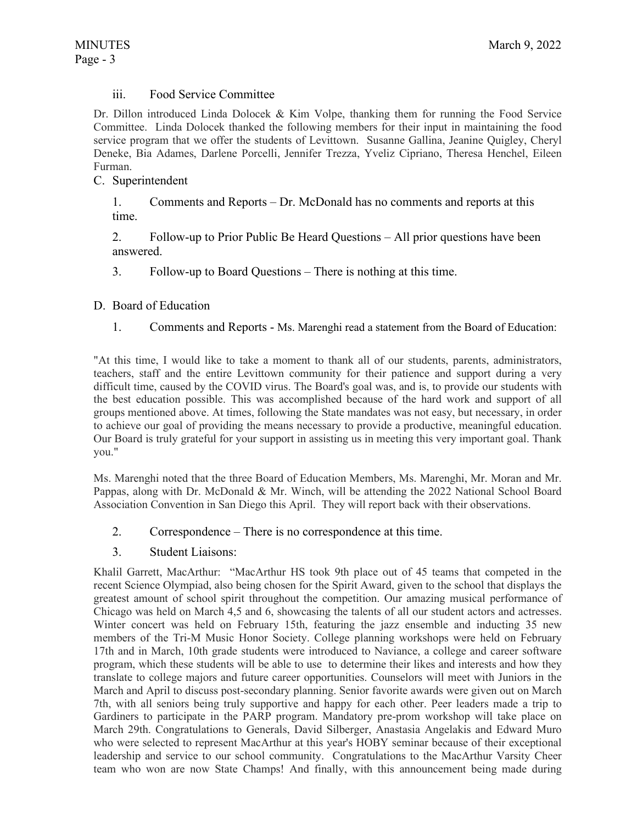## iii. Food Service Committee

Dr. Dillon introduced Linda Dolocek & Kim Volpe, thanking them for running the Food Service Committee. Linda Dolocek thanked the following members for their input in maintaining the food service program that we offer the students of Levittown. Susanne Gallina, Jeanine Quigley, Cheryl Deneke, Bia Adames, Darlene Porcelli, Jennifer Trezza, Yveliz Cipriano, Theresa Henchel, Eileen Furman.

## C. Superintendent

1. Comments and Reports – Dr. McDonald has no comments and reports at this time.

2. Follow-up to Prior Public Be Heard Questions – All prior questions have been answered.

3. Follow-up to Board Questions – There is nothing at this time.

### D. Board of Education

1. Comments and Reports - Ms. Marenghi read a statement from the Board of Education:

"At this time, I would like to take a moment to thank all of our students, parents, administrators, teachers, staff and the entire Levittown community for their patience and support during a very difficult time, caused by the COVID virus. The Board's goal was, and is, to provide our students with the best education possible. This was accomplished because of the hard work and support of all groups mentioned above. At times, following the State mandates was not easy, but necessary, in order to achieve our goal of providing the means necessary to provide a productive, meaningful education. Our Board is truly grateful for your support in assisting us in meeting this very important goal. Thank you."

Ms. Marenghi noted that the three Board of Education Members, Ms. Marenghi, Mr. Moran and Mr. Pappas, along with Dr. McDonald & Mr. Winch, will be attending the 2022 National School Board Association Convention in San Diego this April. They will report back with their observations.

- 2. Correspondence There is no correspondence at this time.
- 3. Student Liaisons:

Khalil Garrett, MacArthur: "MacArthur HS took 9th place out of 45 teams that competed in the recent Science Olympiad, also being chosen for the Spirit Award, given to the school that displays the greatest amount of school spirit throughout the competition. Our amazing musical performance of Chicago was held on March 4,5 and 6, showcasing the talents of all our student actors and actresses. Winter concert was held on February 15th, featuring the jazz ensemble and inducting 35 new members of the Tri-M Music Honor Society. College planning workshops were held on February 17th and in March, 10th grade students were introduced to Naviance, a college and career software program, which these students will be able to use to determine their likes and interests and how they translate to college majors and future career opportunities. Counselors will meet with Juniors in the March and April to discuss post-secondary planning. Senior favorite awards were given out on March 7th, with all seniors being truly supportive and happy for each other. Peer leaders made a trip to Gardiners to participate in the PARP program. Mandatory pre-prom workshop will take place on March 29th. Congratulations to Generals, David Silberger, Anastasia Angelakis and Edward Muro who were selected to represent MacArthur at this year's HOBY seminar because of their exceptional leadership and service to our school community. Congratulations to the MacArthur Varsity Cheer team who won are now State Champs! And finally, with this announcement being made during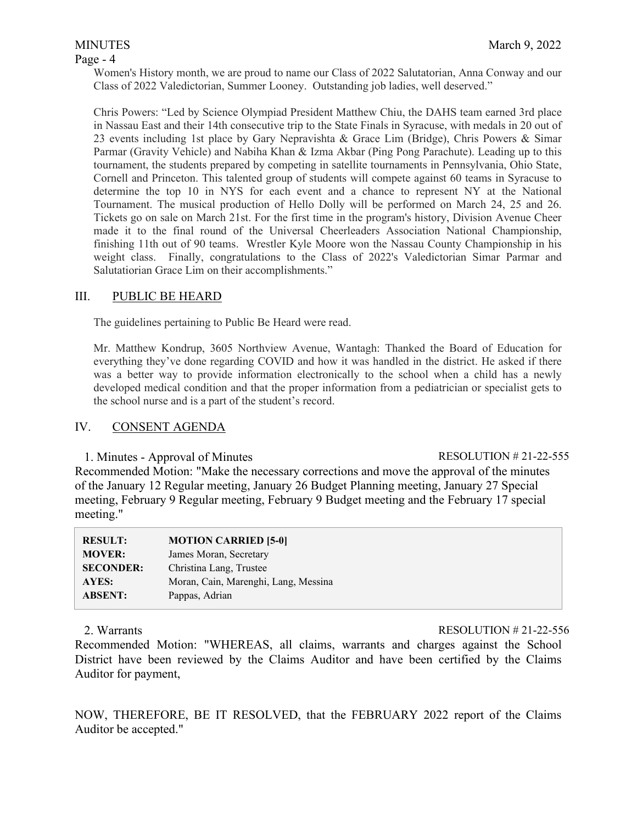## Page - 4

Women's History month, we are proud to name our Class of 2022 Salutatorian, Anna Conway and our Class of 2022 Valedictorian, Summer Looney. Outstanding job ladies, well deserved."

Chris Powers: "Led by Science Olympiad President Matthew Chiu, the DAHS team earned 3rd place in Nassau East and their 14th consecutive trip to the State Finals in Syracuse, with medals in 20 out of 23 events including 1st place by Gary Nepravishta & Grace Lim (Bridge), Chris Powers & Simar Parmar (Gravity Vehicle) and Nabiha Khan & Izma Akbar (Ping Pong Parachute). Leading up to this tournament, the students prepared by competing in satellite tournaments in Pennsylvania, Ohio State, Cornell and Princeton. This talented group of students will compete against 60 teams in Syracuse to determine the top 10 in NYS for each event and a chance to represent NY at the National Tournament. The musical production of Hello Dolly will be performed on March 24, 25 and 26. Tickets go on sale on March 21st. For the first time in the program's history, Division Avenue Cheer made it to the final round of the Universal Cheerleaders Association National Championship, finishing 11th out of 90 teams. Wrestler Kyle Moore won the Nassau County Championship in his weight class. Finally, congratulations to the Class of 2022's Valedictorian Simar Parmar and Salutatiorian Grace Lim on their accomplishments."

## III. PUBLIC BE HEARD

The guidelines pertaining to Public Be Heard were read.

Mr. Matthew Kondrup, 3605 Northview Avenue, Wantagh: Thanked the Board of Education for everything they've done regarding COVID and how it was handled in the district. He asked if there was a better way to provide information electronically to the school when a child has a newly developed medical condition and that the proper information from a pediatrician or specialist gets to the school nurse and is a part of the student's record.

## IV. CONSENT AGENDA

1. Minutes - Approval of Minutes RESOLUTION # 21-22-555

Recommended Motion: "Make the necessary corrections and move the approval of the minutes of the January 12 Regular meeting, January 26 Budget Planning meeting, January 27 Special meeting, February 9 Regular meeting, February 9 Budget meeting and the February 17 special meeting."

| <b>RESULT:</b>   | <b>MOTION CARRIED [5-0]</b>          |
|------------------|--------------------------------------|
| <b>MOVER:</b>    | James Moran, Secretary               |
| <b>SECONDER:</b> | Christina Lang, Trustee              |
| AYES:            | Moran, Cain, Marenghi, Lang, Messina |
| <b>ABSENT:</b>   | Pappas, Adrian                       |

### 2. Warrants RESOLUTION # 21-22-556

Recommended Motion: "WHEREAS, all claims, warrants and charges against the School District have been reviewed by the Claims Auditor and have been certified by the Claims Auditor for payment,

NOW, THEREFORE, BE IT RESOLVED, that the FEBRUARY 2022 report of the Claims Auditor be accepted."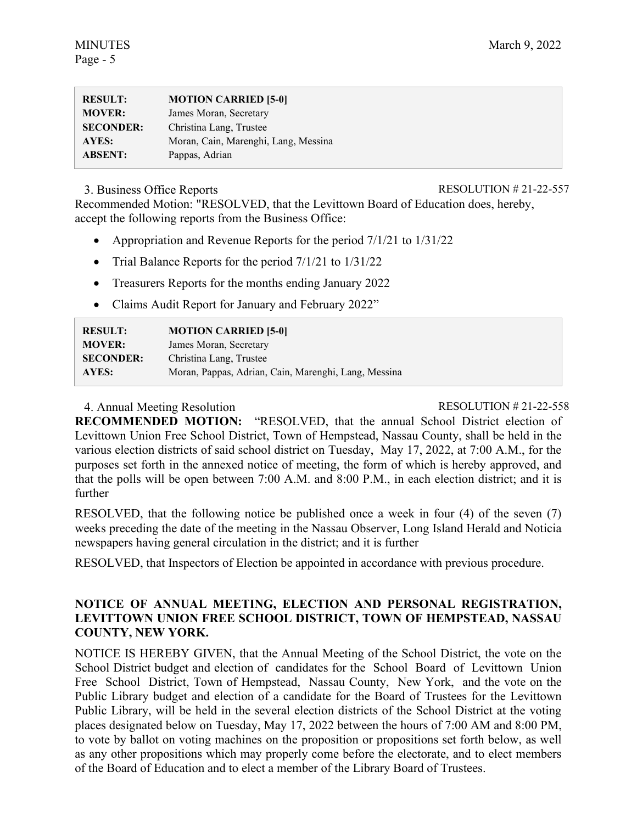| <b>RESULT:</b>   | <b>MOTION CARRIED [5-0]</b>          |
|------------------|--------------------------------------|
| <b>MOVER:</b>    | James Moran, Secretary               |
| <b>SECONDER:</b> | Christina Lang, Trustee              |
| <b>AYES:</b>     | Moran, Cain, Marenghi, Lang, Messina |
| <b>ABSENT:</b>   | Pappas, Adrian                       |

## 3. Business Office Reports RESOLUTION # 21-22-557

Recommended Motion: "RESOLVED, that the Levittown Board of Education does, hereby, accept the following reports from the Business Office:

- Appropriation and Revenue Reports for the period 7/1/21 to 1/31/22
- Trial Balance Reports for the period  $7/1/21$  to  $1/31/22$
- Treasurers Reports for the months ending January 2022
- Claims Audit Report for January and February 2022"

| <b>RESULT:</b>   | <b>MOTION CARRIED [5-0]</b>                          |
|------------------|------------------------------------------------------|
| <b>MOVER:</b>    | James Moran, Secretary                               |
| <b>SECONDER:</b> | Christina Lang, Trustee                              |
| AYES:            | Moran, Pappas, Adrian, Cain, Marenghi, Lang, Messina |

# 4. Annual Meeting Resolution RESOLUTION # 21-22-558

**RECOMMENDED MOTION:** "RESOLVED, that the annual School District election of Levittown Union Free School District, Town of Hempstead, Nassau County, shall be held in the various election districts of said school district on Tuesday, May 17, 2022, at 7:00 A.M., for the purposes set forth in the annexed notice of meeting, the form of which is hereby approved, and that the polls will be open between 7:00 A.M. and 8:00 P.M., in each election district; and it is further

RESOLVED, that the following notice be published once a week in four (4) of the seven (7) weeks preceding the date of the meeting in the Nassau Observer, Long Island Herald and Noticia newspapers having general circulation in the district; and it is further

RESOLVED, that Inspectors of Election be appointed in accordance with previous procedure.

# **NOTICE OF ANNUAL MEETING, ELECTION AND PERSONAL REGISTRATION, LEVITTOWN UNION FREE SCHOOL DISTRICT, TOWN OF HEMPSTEAD, NASSAU COUNTY, NEW YORK.**

NOTICE IS HEREBY GIVEN, that the Annual Meeting of the School District, the vote on the School District budget and election of candidates for the School Board of Levittown Union Free School District, Town of Hempstead, Nassau County, New York, and the vote on the Public Library budget and election of a candidate for the Board of Trustees for the Levittown Public Library, will be held in the several election districts of the School District at the voting places designated below on Tuesday, May 17, 2022 between the hours of 7:00 AM and 8:00 PM, to vote by ballot on voting machines on the proposition or propositions set forth below, as well as any other propositions which may properly come before the electorate, and to elect members of the Board of Education and to elect a member of the Library Board of Trustees.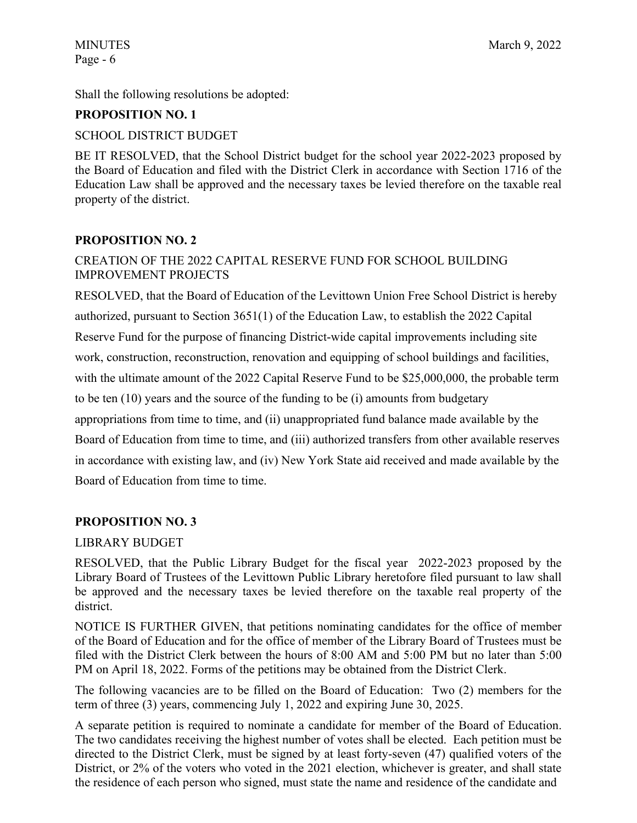Shall the following resolutions be adopted:

# **PROPOSITION NO. 1**

## SCHOOL DISTRICT BUDGET

BE IT RESOLVED, that the School District budget for the school year 2022-2023 proposed by the Board of Education and filed with the District Clerk in accordance with Section 1716 of the Education Law shall be approved and the necessary taxes be levied therefore on the taxable real property of the district.

# **PROPOSITION NO. 2**

# CREATION OF THE 2022 CAPITAL RESERVE FUND FOR SCHOOL BUILDING IMPROVEMENT PROJECTS

RESOLVED, that the Board of Education of the Levittown Union Free School District is hereby authorized, pursuant to Section 3651(1) of the Education Law, to establish the 2022 Capital Reserve Fund for the purpose of financing District-wide capital improvements including site work, construction, reconstruction, renovation and equipping of school buildings and facilities, with the ultimate amount of the 2022 Capital Reserve Fund to be \$25,000,000, the probable term to be ten (10) years and the source of the funding to be (i) amounts from budgetary appropriations from time to time, and (ii) unappropriated fund balance made available by the Board of Education from time to time, and (iii) authorized transfers from other available reserves in accordance with existing law, and (iv) New York State aid received and made available by the Board of Education from time to time.

# **PROPOSITION NO. 3**

# LIBRARY BUDGET

RESOLVED, that the Public Library Budget for the fiscal year 2022-2023 proposed by the Library Board of Trustees of the Levittown Public Library heretofore filed pursuant to law shall be approved and the necessary taxes be levied therefore on the taxable real property of the district.

NOTICE IS FURTHER GIVEN, that petitions nominating candidates for the office of member of the Board of Education and for the office of member of the Library Board of Trustees must be filed with the District Clerk between the hours of 8:00 AM and 5:00 PM but no later than 5:00 PM on April 18, 2022. Forms of the petitions may be obtained from the District Clerk.

The following vacancies are to be filled on the Board of Education: Two (2) members for the term of three (3) years, commencing July 1, 2022 and expiring June 30, 2025.

A separate petition is required to nominate a candidate for member of the Board of Education. The two candidates receiving the highest number of votes shall be elected. Each petition must be directed to the District Clerk, must be signed by at least forty-seven (47) qualified voters of the District, or 2% of the voters who voted in the 2021 election, whichever is greater, and shall state the residence of each person who signed, must state the name and residence of the candidate and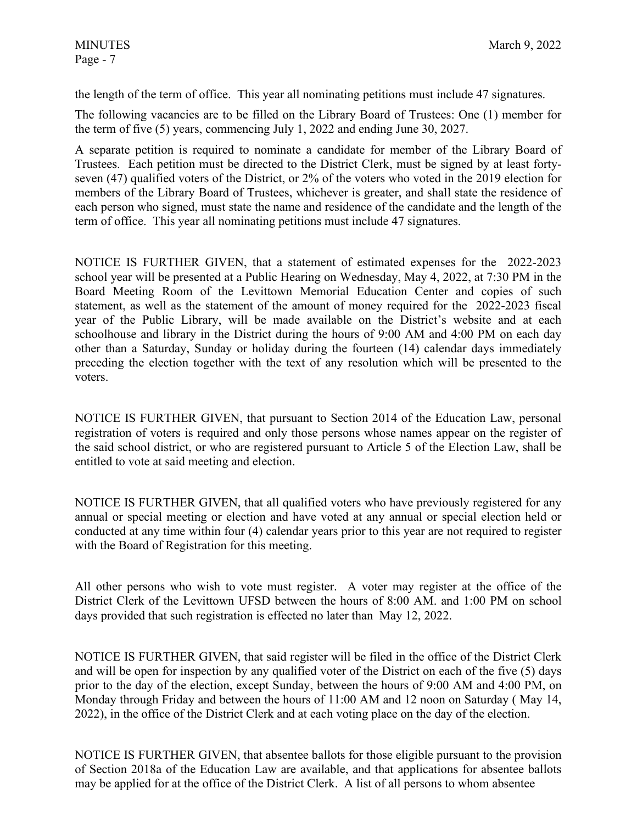the length of the term of office. This year all nominating petitions must include 47 signatures.

The following vacancies are to be filled on the Library Board of Trustees: One (1) member for the term of five (5) years, commencing July 1, 2022 and ending June 30, 2027.

A separate petition is required to nominate a candidate for member of the Library Board of Trustees. Each petition must be directed to the District Clerk, must be signed by at least fortyseven (47) qualified voters of the District, or 2% of the voters who voted in the 2019 election for members of the Library Board of Trustees, whichever is greater, and shall state the residence of each person who signed, must state the name and residence of the candidate and the length of the term of office. This year all nominating petitions must include 47 signatures.

NOTICE IS FURTHER GIVEN, that a statement of estimated expenses for the 2022-2023 school year will be presented at a Public Hearing on Wednesday, May 4, 2022, at 7:30 PM in the Board Meeting Room of the Levittown Memorial Education Center and copies of such statement, as well as the statement of the amount of money required for the 2022-2023 fiscal year of the Public Library, will be made available on the District's website and at each schoolhouse and library in the District during the hours of 9:00 AM and 4:00 PM on each day other than a Saturday, Sunday or holiday during the fourteen (14) calendar days immediately preceding the election together with the text of any resolution which will be presented to the voters.

NOTICE IS FURTHER GIVEN, that pursuant to Section 2014 of the Education Law, personal registration of voters is required and only those persons whose names appear on the register of the said school district, or who are registered pursuant to Article 5 of the Election Law, shall be entitled to vote at said meeting and election.

NOTICE IS FURTHER GIVEN, that all qualified voters who have previously registered for any annual or special meeting or election and have voted at any annual or special election held or conducted at any time within four (4) calendar years prior to this year are not required to register with the Board of Registration for this meeting.

All other persons who wish to vote must register. A voter may register at the office of the District Clerk of the Levittown UFSD between the hours of 8:00 AM. and 1:00 PM on school days provided that such registration is effected no later than May 12, 2022.

NOTICE IS FURTHER GIVEN, that said register will be filed in the office of the District Clerk and will be open for inspection by any qualified voter of the District on each of the five (5) days prior to the day of the election, except Sunday, between the hours of 9:00 AM and 4:00 PM, on Monday through Friday and between the hours of 11:00 AM and 12 noon on Saturday ( May 14, 2022), in the office of the District Clerk and at each voting place on the day of the election.

NOTICE IS FURTHER GIVEN, that absentee ballots for those eligible pursuant to the provision of Section 2018a of the Education Law are available, and that applications for absentee ballots may be applied for at the office of the District Clerk. A list of all persons to whom absentee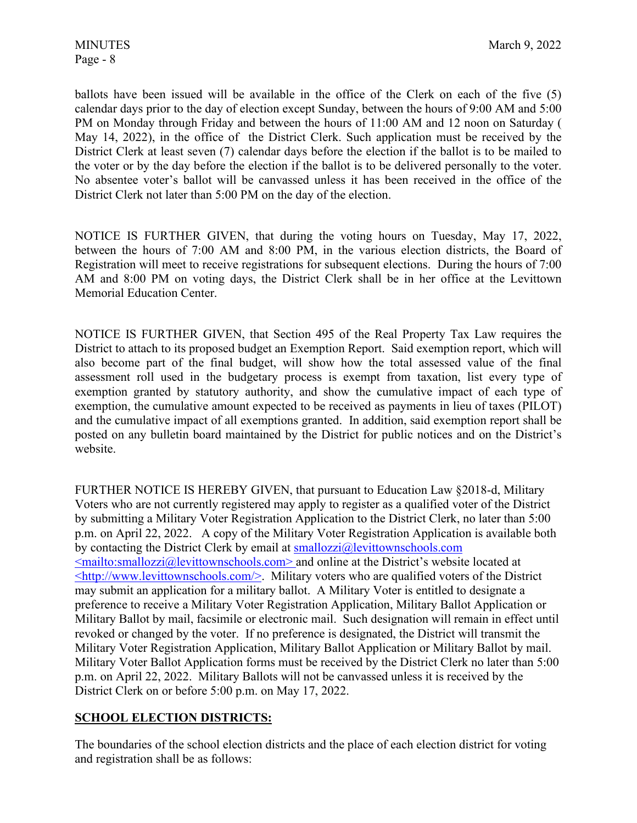ballots have been issued will be available in the office of the Clerk on each of the five (5) calendar days prior to the day of election except Sunday, between the hours of 9:00 AM and 5:00 PM on Monday through Friday and between the hours of 11:00 AM and 12 noon on Saturday ( May 14, 2022), in the office of the District Clerk. Such application must be received by the District Clerk at least seven (7) calendar days before the election if the ballot is to be mailed to the voter or by the day before the election if the ballot is to be delivered personally to the voter. No absentee voter's ballot will be canvassed unless it has been received in the office of the District Clerk not later than 5:00 PM on the day of the election.

NOTICE IS FURTHER GIVEN, that during the voting hours on Tuesday, May 17, 2022, between the hours of 7:00 AM and 8:00 PM, in the various election districts, the Board of Registration will meet to receive registrations for subsequent elections. During the hours of 7:00 AM and 8:00 PM on voting days, the District Clerk shall be in her office at the Levittown Memorial Education Center.

NOTICE IS FURTHER GIVEN, that Section 495 of the Real Property Tax Law requires the District to attach to its proposed budget an Exemption Report. Said exemption report, which will also become part of the final budget, will show how the total assessed value of the final assessment roll used in the budgetary process is exempt from taxation, list every type of exemption granted by statutory authority, and show the cumulative impact of each type of exemption, the cumulative amount expected to be received as payments in lieu of taxes (PILOT) and the cumulative impact of all exemptions granted. In addition, said exemption report shall be posted on any bulletin board maintained by the District for public notices and on the District's website.

FURTHER NOTICE IS HEREBY GIVEN, that pursuant to Education Law §2018-d, Military Voters who are not currently registered may apply to register as a qualified voter of the District by submitting a Military Voter Registration Application to the District Clerk, no later than 5:00 p.m. on April 22, 2022. A copy of the Military Voter Registration Application is available both by contacting the District Clerk by email at smallozzi@levittownschools.com  $\leq$ mailto:smallozzi@levittownschools.com> and online at the District's website located at <http://www.levittownschools.com/>. Military voters who are qualified voters of the District may submit an application for a military ballot. A Military Voter is entitled to designate a preference to receive a Military Voter Registration Application, Military Ballot Application or Military Ballot by mail, facsimile or electronic mail. Such designation will remain in effect until revoked or changed by the voter. If no preference is designated, the District will transmit the Military Voter Registration Application, Military Ballot Application or Military Ballot by mail. Military Voter Ballot Application forms must be received by the District Clerk no later than 5:00 p.m. on April 22, 2022. Military Ballots will not be canvassed unless it is received by the District Clerk on or before 5:00 p.m. on May 17, 2022.

# **SCHOOL ELECTION DISTRICTS:**

The boundaries of the school election districts and the place of each election district for voting and registration shall be as follows: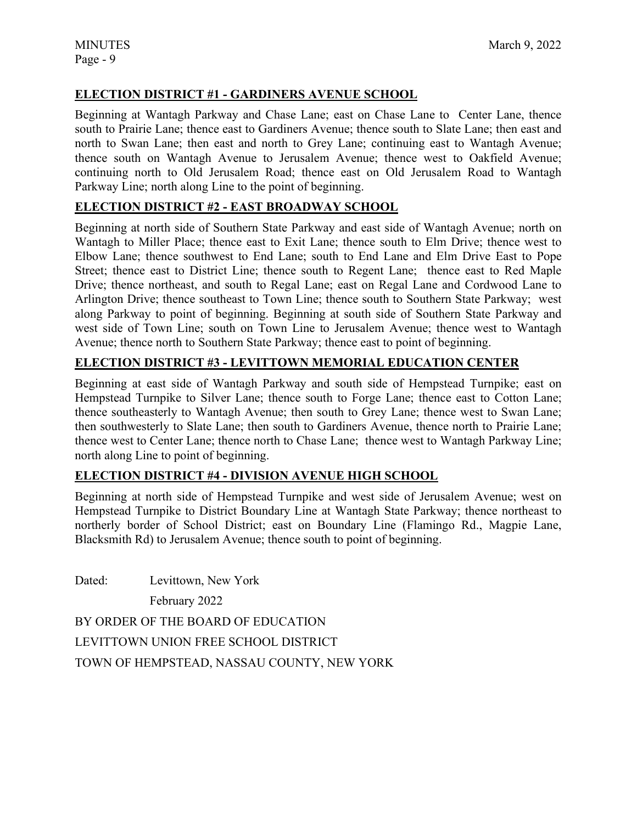# **ELECTION DISTRICT #1 - GARDINERS AVENUE SCHOOL**

Beginning at Wantagh Parkway and Chase Lane; east on Chase Lane to Center Lane, thence south to Prairie Lane; thence east to Gardiners Avenue; thence south to Slate Lane; then east and north to Swan Lane; then east and north to Grey Lane; continuing east to Wantagh Avenue; thence south on Wantagh Avenue to Jerusalem Avenue; thence west to Oakfield Avenue; continuing north to Old Jerusalem Road; thence east on Old Jerusalem Road to Wantagh Parkway Line; north along Line to the point of beginning.

# **ELECTION DISTRICT #2 - EAST BROADWAY SCHOOL**

Beginning at north side of Southern State Parkway and east side of Wantagh Avenue; north on Wantagh to Miller Place; thence east to Exit Lane; thence south to Elm Drive; thence west to Elbow Lane; thence southwest to End Lane; south to End Lane and Elm Drive East to Pope Street; thence east to District Line; thence south to Regent Lane; thence east to Red Maple Drive; thence northeast, and south to Regal Lane; east on Regal Lane and Cordwood Lane to Arlington Drive; thence southeast to Town Line; thence south to Southern State Parkway; west along Parkway to point of beginning. Beginning at south side of Southern State Parkway and west side of Town Line; south on Town Line to Jerusalem Avenue; thence west to Wantagh Avenue; thence north to Southern State Parkway; thence east to point of beginning.

# **ELECTION DISTRICT #3 - LEVITTOWN MEMORIAL EDUCATION CENTER**

Beginning at east side of Wantagh Parkway and south side of Hempstead Turnpike; east on Hempstead Turnpike to Silver Lane; thence south to Forge Lane; thence east to Cotton Lane; thence southeasterly to Wantagh Avenue; then south to Grey Lane; thence west to Swan Lane; then southwesterly to Slate Lane; then south to Gardiners Avenue, thence north to Prairie Lane; thence west to Center Lane; thence north to Chase Lane; thence west to Wantagh Parkway Line; north along Line to point of beginning.

# **ELECTION DISTRICT #4 - DIVISION AVENUE HIGH SCHOOL**

Beginning at north side of Hempstead Turnpike and west side of Jerusalem Avenue; west on Hempstead Turnpike to District Boundary Line at Wantagh State Parkway; thence northeast to northerly border of School District; east on Boundary Line (Flamingo Rd., Magpie Lane, Blacksmith Rd) to Jerusalem Avenue; thence south to point of beginning.

| Dated: | Levittown, New York                        |
|--------|--------------------------------------------|
|        | February 2022                              |
|        | BY ORDER OF THE BOARD OF EDUCATION         |
|        | LEVITTOWN UNION FREE SCHOOL DISTRICT       |
|        | TOWN OF HEMPSTEAD, NASSAU COUNTY, NEW YORK |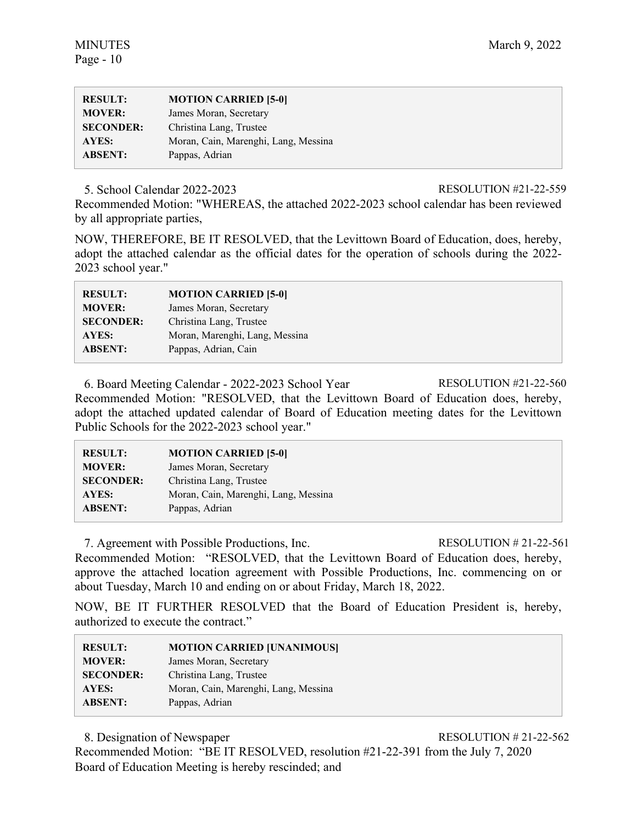| <b>RESULT:</b>   | <b>MOTION CARRIED [5-0]</b>          |
|------------------|--------------------------------------|
| <b>MOVER:</b>    | James Moran, Secretary               |
| <b>SECONDER:</b> | Christina Lang, Trustee              |
| AYES:            | Moran, Cain, Marenghi, Lang, Messina |
| <b>ABSENT:</b>   | Pappas, Adrian                       |

5. School Calendar 2022-2023 RESOLUTION #21-22-559

Recommended Motion: "WHEREAS, the attached 2022-2023 school calendar has been reviewed by all appropriate parties,

NOW, THEREFORE, BE IT RESOLVED, that the Levittown Board of Education, does, hereby, adopt the attached calendar as the official dates for the operation of schools during the 2022- 2023 school year."

| <b>RESULT:</b>   | <b>MOTION CARRIED [5-0]</b>    |
|------------------|--------------------------------|
| <b>MOVER:</b>    | James Moran, Secretary         |
| <b>SECONDER:</b> | Christina Lang, Trustee        |
| <b>AYES:</b>     | Moran, Marenghi, Lang, Messina |
| <b>ABSENT:</b>   | Pappas, Adrian, Cain           |

6. Board Meeting Calendar - 2022-2023 School Year RESOLUTION #21-22-560 Recommended Motion: "RESOLVED, that the Levittown Board of Education does, hereby, adopt the attached updated calendar of Board of Education meeting dates for the Levittown Public Schools for the 2022-2023 school year."

| <b>RESULT:</b>   | <b>MOTION CARRIED [5-0]</b>          |
|------------------|--------------------------------------|
| <b>MOVER:</b>    | James Moran, Secretary               |
| <b>SECONDER:</b> | Christina Lang, Trustee              |
| AYES:            | Moran, Cain, Marenghi, Lang, Messina |
| <b>ABSENT:</b>   | Pappas, Adrian                       |

7. Agreement with Possible Productions, Inc. RESOLUTION # 21-22-561

Recommended Motion: "RESOLVED, that the Levittown Board of Education does, hereby, approve the attached location agreement with Possible Productions, Inc. commencing on or about Tuesday, March 10 and ending on or about Friday, March 18, 2022.

NOW, BE IT FURTHER RESOLVED that the Board of Education President is, hereby, authorized to execute the contract."

| <b>RESULT:</b>   | <b>MOTION CARRIED [UNANIMOUS]</b>    |
|------------------|--------------------------------------|
| <b>MOVER:</b>    | James Moran, Secretary               |
| <b>SECONDER:</b> | Christina Lang, Trustee              |
| AYES:            | Moran, Cain, Marenghi, Lang, Messina |
| <b>ABSENT:</b>   | Pappas, Adrian                       |

8. Designation of Newspaper RESOLUTION # 21-22-562

Recommended Motion: "BE IT RESOLVED, resolution #21-22-391 from the July 7, 2020 Board of Education Meeting is hereby rescinded; and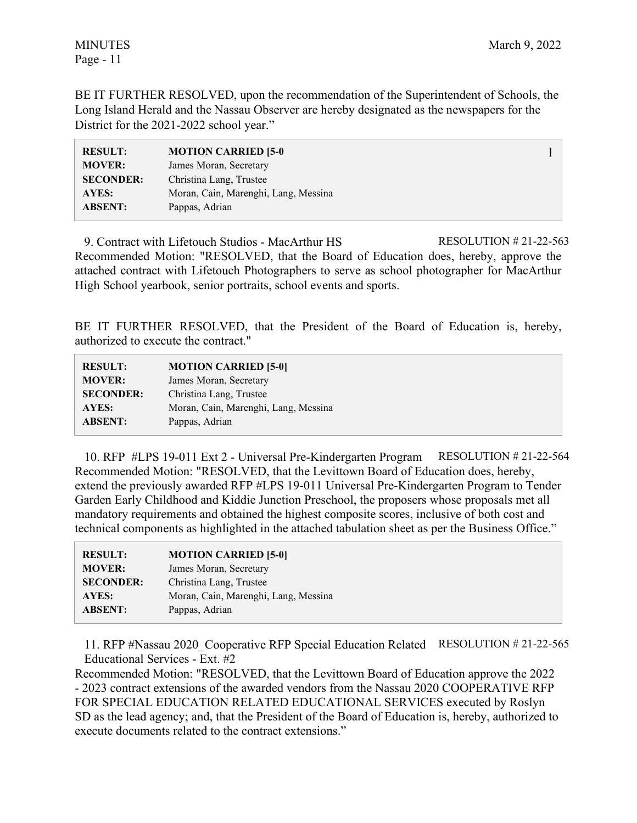BE IT FURTHER RESOLVED, upon the recommendation of the Superintendent of Schools, the Long Island Herald and the Nassau Observer are hereby designated as the newspapers for the District for the 2021-2022 school year."

| <b>RESULT:</b>   | <b>MOTION CARRIED [5-0</b>           |  |
|------------------|--------------------------------------|--|
| <b>MOVER:</b>    | James Moran, Secretary               |  |
| <b>SECONDER:</b> | Christina Lang, Trustee              |  |
| AYES:            | Moran, Cain, Marenghi, Lang, Messina |  |
| <b>ABSENT:</b>   | Pappas, Adrian                       |  |

9. Contract with Lifetouch Studios - MacArthur HS RESOLUTION # 21-22-563 Recommended Motion: "RESOLVED, that the Board of Education does, hereby, approve the attached contract with Lifetouch Photographers to serve as school photographer for MacArthur High School yearbook, senior portraits, school events and sports.

BE IT FURTHER RESOLVED, that the President of the Board of Education is, hereby, authorized to execute the contract."

| <b>RESULT:</b>   | <b>MOTION CARRIED [5-0]</b>          |
|------------------|--------------------------------------|
| <b>MOVER:</b>    | James Moran, Secretary               |
| <b>SECONDER:</b> | Christina Lang, Trustee              |
| AYES:            | Moran, Cain, Marenghi, Lang, Messina |
| <b>ABSENT:</b>   | Pappas, Adrian                       |

10. RFP #LPS 19-011 Ext 2 - Universal Pre-Kindergarten Program RESOLUTION # 21-22-564 Recommended Motion: "RESOLVED, that the Levittown Board of Education does, hereby, extend the previously awarded RFP #LPS 19-011 Universal Pre-Kindergarten Program to Tender Garden Early Childhood and Kiddie Junction Preschool, the proposers whose proposals met all mandatory requirements and obtained the highest composite scores, inclusive of both cost and technical components as highlighted in the attached tabulation sheet as per the Business Office."

| <b>MOTION CARRIED [5-0]</b>          |
|--------------------------------------|
| James Moran, Secretary               |
| Christina Lang, Trustee              |
| Moran, Cain, Marenghi, Lang, Messina |
| Pappas, Adrian                       |
|                                      |

11. RFP #Nassau 2020\_Cooperative RFP Special Education Related RESOLUTION # 21-22-565 Educational Services - Ext. #2

Recommended Motion: "RESOLVED, that the Levittown Board of Education approve the 2022 - 2023 contract extensions of the awarded vendors from the Nassau 2020 COOPERATIVE RFP FOR SPECIAL EDUCATION RELATED EDUCATIONAL SERVICES executed by Roslyn SD as the lead agency; and, that the President of the Board of Education is, hereby, authorized to execute documents related to the contract extensions."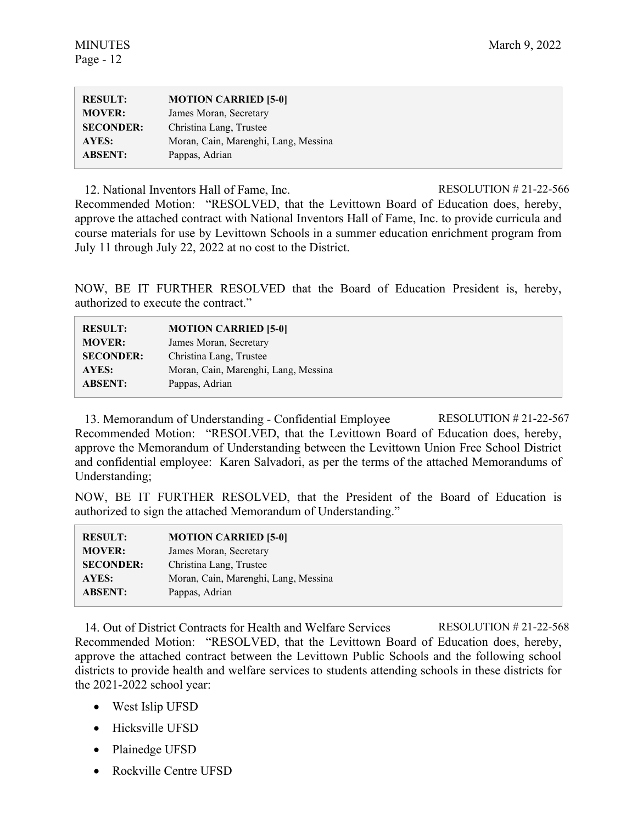| <b>RESULT:</b>   | <b>MOTION CARRIED [5-0]</b>          |
|------------------|--------------------------------------|
| <b>MOVER:</b>    | James Moran, Secretary               |
| <b>SECONDER:</b> | Christina Lang, Trustee              |
| AYES:            | Moran, Cain, Marenghi, Lang, Messina |
| <b>ABSENT:</b>   | Pappas, Adrian                       |

12. National Inventors Hall of Fame, Inc. RESOLUTION # 21-22-566

Recommended Motion: "RESOLVED, that the Levittown Board of Education does, hereby, approve the attached contract with National Inventors Hall of Fame, Inc. to provide curricula and course materials for use by Levittown Schools in a summer education enrichment program from July 11 through July 22, 2022 at no cost to the District.

NOW, BE IT FURTHER RESOLVED that the Board of Education President is, hereby, authorized to execute the contract."

| <b>RESULT:</b>   | <b>MOTION CARRIED [5-0]</b>          |
|------------------|--------------------------------------|
| <b>MOVER:</b>    | James Moran, Secretary               |
| <b>SECONDER:</b> | Christina Lang, Trustee              |
| AYES:            | Moran, Cain, Marenghi, Lang, Messina |
| <b>ABSENT:</b>   | Pappas, Adrian                       |

13. Memorandum of Understanding - Confidential Employee RESOLUTION # 21-22-567 Recommended Motion: "RESOLVED, that the Levittown Board of Education does, hereby, approve the Memorandum of Understanding between the Levittown Union Free School District and confidential employee: Karen Salvadori, as per the terms of the attached Memorandums of Understanding;

NOW, BE IT FURTHER RESOLVED, that the President of the Board of Education is authorized to sign the attached Memorandum of Understanding."

| <b>RESULT:</b>   | <b>MOTION CARRIED [5-0]</b>          |
|------------------|--------------------------------------|
| <b>MOVER:</b>    | James Moran, Secretary               |
| <b>SECONDER:</b> | Christina Lang, Trustee              |
| AYES:            | Moran, Cain, Marenghi, Lang, Messina |
| <b>ABSENT:</b>   | Pappas, Adrian                       |

14. Out of District Contracts for Health and Welfare Services RESOLUTION # 21-22-568 Recommended Motion: "RESOLVED, that the Levittown Board of Education does, hereby, approve the attached contract between the Levittown Public Schools and the following school districts to provide health and welfare services to students attending schools in these districts for the 2021-2022 school year:

- West Islip UFSD
- Hicksville UFSD
- Plainedge UFSD
- Rockville Centre UFSD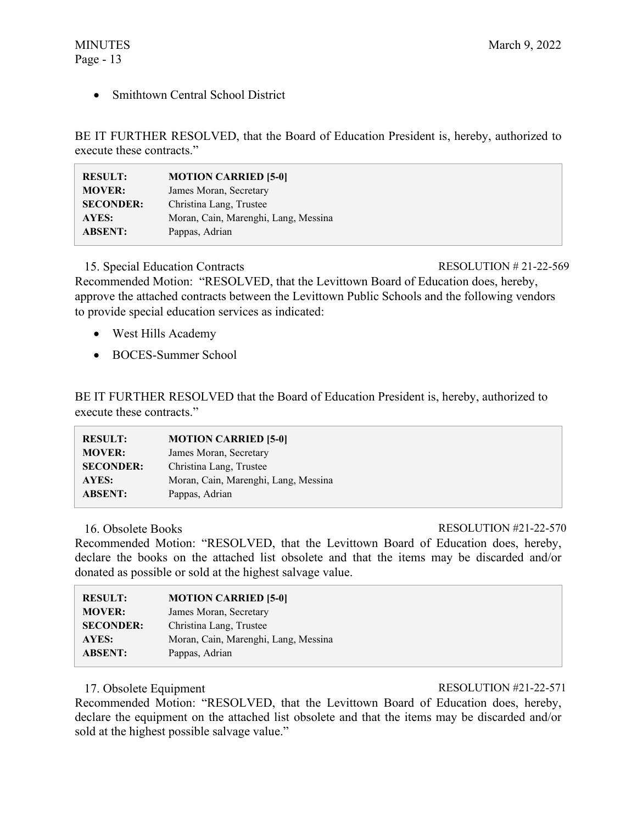• Smithtown Central School District

BE IT FURTHER RESOLVED, that the Board of Education President is, hereby, authorized to execute these contracts."

| <b>RESULT:</b>   | <b>MOTION CARRIED [5-0]</b>          |
|------------------|--------------------------------------|
| <b>MOVER:</b>    | James Moran, Secretary               |
| <b>SECONDER:</b> | Christina Lang, Trustee              |
| AYES:            | Moran, Cain, Marenghi, Lang, Messina |
| <b>ABSENT:</b>   | Pappas, Adrian                       |

15. Special Education Contracts RESOLUTION # 21-22-569

Recommended Motion: "RESOLVED, that the Levittown Board of Education does, hereby, approve the attached contracts between the Levittown Public Schools and the following vendors to provide special education services as indicated:

- West Hills Academy
- BOCES-Summer School

BE IT FURTHER RESOLVED that the Board of Education President is, hereby, authorized to execute these contracts."

| <b>RESULT:</b>   | <b>MOTION CARRIED [5-0]</b>          |
|------------------|--------------------------------------|
| <b>MOVER:</b>    | James Moran, Secretary               |
| <b>SECONDER:</b> | Christina Lang, Trustee              |
| AYES:            | Moran, Cain, Marenghi, Lang, Messina |
| <b>ABSENT:</b>   | Pappas, Adrian                       |

16. Obsolete Books RESOLUTION #21-22-570

Recommended Motion: "RESOLVED, that the Levittown Board of Education does, hereby, declare the books on the attached list obsolete and that the items may be discarded and/or donated as possible or sold at the highest salvage value.

| <b>RESULT:</b>   | <b>MOTION CARRIED [5-0]</b>          |
|------------------|--------------------------------------|
| <b>MOVER:</b>    | James Moran, Secretary               |
| <b>SECONDER:</b> | Christina Lang, Trustee              |
| AYES:            | Moran, Cain, Marenghi, Lang, Messina |
| <b>ABSENT:</b>   | Pappas, Adrian                       |

17. Obsolete Equipment RESOLUTION #21-22-571

Recommended Motion: "RESOLVED, that the Levittown Board of Education does, hereby, declare the equipment on the attached list obsolete and that the items may be discarded and/or sold at the highest possible salvage value."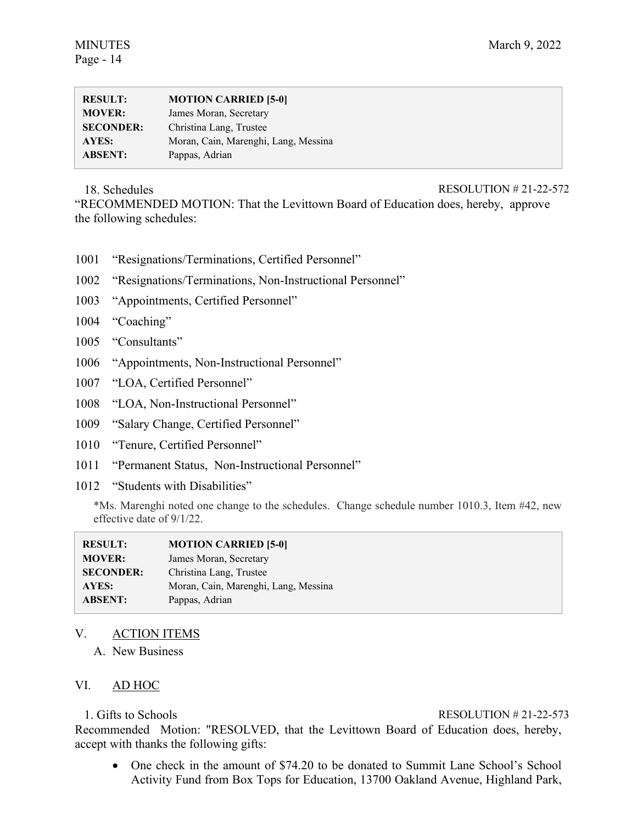| <b>RESULT:</b>   | <b>MOTION CARRIED [5-0]</b>          |
|------------------|--------------------------------------|
| <b>MOVER:</b>    | James Moran, Secretary               |
| <b>SECONDER:</b> | Christina Lang, Trustee              |
| AYES:            | Moran, Cain, Marenghi, Lang, Messina |
| <b>ABSENT:</b>   | Pappas, Adrian                       |

18. Schedules RESOLUTION # 21-22-572

"RECOMMENDED MOTION: That the Levittown Board of Education does, hereby, approve the following schedules:

1001 "Resignations/Terminations, Certified Personnel"

1002 "Resignations/Terminations, Non-Instructional Personnel"

- 1003 "Appointments, Certified Personnel"
- 1004 "Coaching"
- 1005 "Consultants"
- 1006 "Appointments, Non-Instructional Personnel"
- 1007 "LOA, Certified Personnel"
- 1008 "LOA, Non-Instructional Personnel"
- 1009 "Salary Change, Certified Personnel"
- 1010 "Tenure, Certified Personnel"
- 1011 "Permanent Status, Non-Instructional Personnel"
- 1012 "Students with Disabilities"

\*Ms. Marenghi noted one change to the schedules. Change schedule number 1010.3, Item #42, new effective date of 9/1/22.

| <b>RESULT:</b>   | <b>MOTION CARRIED [5-0]</b>          |
|------------------|--------------------------------------|
| <b>MOVER:</b>    | James Moran, Secretary               |
| <b>SECONDER:</b> | Christina Lang, Trustee              |
| AYES:            | Moran, Cain, Marenghi, Lang, Messina |
| <b>ABSENT:</b>   | Pappas, Adrian                       |

# V. ACTION ITEMS

A. New Business

## VI. AD HOC

1. Gifts to Schools RESOLUTION # 21-22-573

Recommended Motion: "RESOLVED, that the Levittown Board of Education does, hereby, accept with thanks the following gifts:

• One check in the amount of \$74.20 to be donated to Summit Lane School's School Activity Fund from Box Tops for Education, 13700 Oakland Avenue, Highland Park,